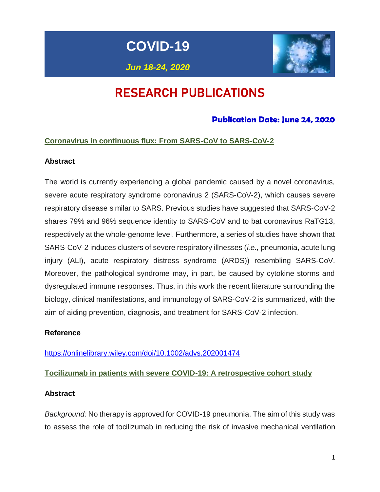**COVID-19**

*Jun 18-24, 2020*



# RESEARCH PUBLICATIONS

## **Publication Date: June 24, 2020**

## **Coronavirus in continuous flux: From SARS**‐**CoV to SARS**‐**CoV**‐**2**

## **Abstract**

The world is currently experiencing a global pandemic caused by a novel coronavirus, severe acute respiratory syndrome coronavirus 2 (SARS-CoV-2), which causes severe respiratory disease similar to SARS. Previous studies have suggested that SARS‐CoV‐2 shares 79% and 96% sequence identity to SARS‐CoV and to bat coronavirus RaTG13, respectively at the whole‐genome level. Furthermore, a series of studies have shown that SARS‐CoV‐2 induces clusters of severe respiratory illnesses (*i.e.,* pneumonia, acute lung injury (ALI), acute respiratory distress syndrome (ARDS)) resembling SARS‐CoV. Moreover, the pathological syndrome may, in part, be caused by cytokine storms and dysregulated immune responses. Thus, in this work the recent literature surrounding the biology, clinical manifestations, and immunology of SARS‐CoV‐2 is summarized, with the aim of aiding prevention, diagnosis, and treatment for SARS‐CoV‐2 infection.

## **Reference**

<https://onlinelibrary.wiley.com/doi/10.1002/advs.202001474>

## **Tocilizumab in patients with severe COVID-19: A retrospective cohort study**

### **Abstract**

*Background:* No therapy is approved for COVID-19 pneumonia. The aim of this study was to assess the role of tocilizumab in reducing the risk of invasive mechanical ventilation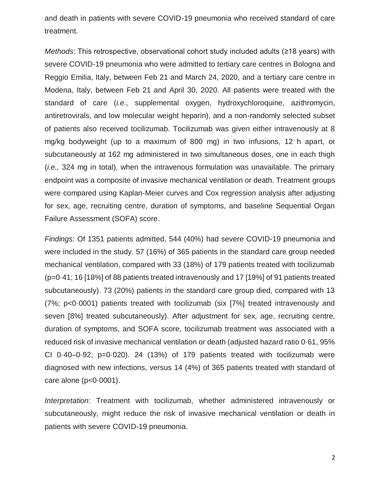and death in patients with severe COVID-19 pneumonia who received standard of care treatment.

*Methods*: This retrospective, observational cohort study included adults (≥18 years) with severe COVID-19 pneumonia who were admitted to tertiary care centres in Bologna and Reggio Emilia, Italy, between Feb 21 and March 24, 2020, and a tertiary care centre in Modena, Italy, between Feb 21 and April 30, 2020. All patients were treated with the standard of care (*i.e.,* supplemental oxygen, hydroxychloroquine, azithromycin, antiretrovirals, and low molecular weight heparin), and a non-randomly selected subset of patients also received tocilizumab. Tocilizumab was given either intravenously at 8 mg/kg bodyweight (up to a maximum of 800 mg) in two infusions, 12 h apart, or subcutaneously at 162 mg administered in two simultaneous doses, one in each thigh (*i.e.,* 324 mg in total), when the intravenous formulation was unavailable. The primary endpoint was a composite of invasive mechanical ventilation or death. Treatment groups were compared using Kaplan-Meier curves and Cox regression analysis after adjusting for sex, age, recruiting centre, duration of symptoms, and baseline Sequential Organ Failure Assessment (SOFA) score.

*Findings*: Of 1351 patients admitted, 544 (40%) had severe COVID-19 pneumonia and were included in the study. 57 (16%) of 365 patients in the standard care group needed mechanical ventilation, compared with 33 (18%) of 179 patients treated with tocilizumab (p=0·41; 16 [18%] of 88 patients treated intravenously and 17 [19%] of 91 patients treated subcutaneously). 73 (20%) patients in the standard care group died, compared with 13 (7%; p<0·0001) patients treated with tocilizumab (six [7%] treated intravenously and seven [8%] treated subcutaneously). After adjustment for sex, age, recruiting centre, duration of symptoms, and SOFA score, tocilizumab treatment was associated with a reduced risk of invasive mechanical ventilation or death (adjusted hazard ratio 0·61, 95% CI  $0.40-0.92$ ;  $p=0.020$ ). 24 (13%) of 179 patients treated with tocilizumab were diagnosed with new infections, versus 14 (4%) of 365 patients treated with standard of care alone (p<0·0001).

*Interpretation*: Treatment with tocilizumab, whether administered intravenously or subcutaneously, might reduce the risk of invasive mechanical ventilation or death in patients with severe COVID-19 pneumonia.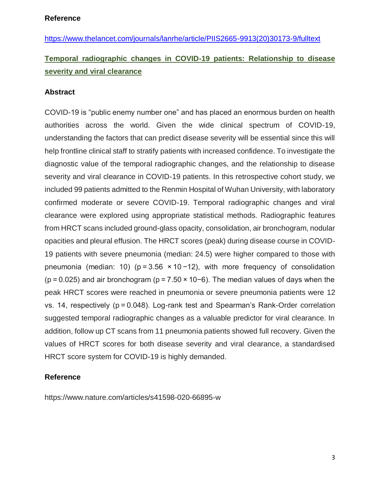[https://www.thelancet.com/journals/lanrhe/article/PIIS2665-9913\(20\)30173-9/fulltext](https://www.thelancet.com/journals/lanrhe/article/PIIS2665-9913(20)30173-9/fulltext)

## **Temporal radiographic changes in COVID-19 patients: Relationship to disease severity and viral clearance**

## **Abstract**

COVID-19 is "public enemy number one" and has placed an enormous burden on health authorities across the world. Given the wide clinical spectrum of COVID-19, understanding the factors that can predict disease severity will be essential since this will help frontline clinical staff to stratify patients with increased confidence. To investigate the diagnostic value of the temporal radiographic changes, and the relationship to disease severity and viral clearance in COVID-19 patients. In this retrospective cohort study, we included 99 patients admitted to the Renmin Hospital of Wuhan University, with laboratory confirmed moderate or severe COVID-19. Temporal radiographic changes and viral clearance were explored using appropriate statistical methods. Radiographic features from HRCT scans included ground-glass opacity, consolidation, air bronchogram, nodular opacities and pleural effusion. The HRCT scores (peak) during disease course in COVID-19 patients with severe pneumonia (median: 24.5) were higher compared to those with pneumonia (median: 10) ( $p = 3.56 \times 10 - 12$ ), with more frequency of consolidation (p = 0.025) and air bronchogram (p = 7.50 × 10−6). The median values of days when the peak HRCT scores were reached in pneumonia or severe pneumonia patients were 12 vs. 14, respectively (p = 0.048). Log-rank test and Spearman's Rank-Order correlation suggested temporal radiographic changes as a valuable predictor for viral clearance. In addition, follow up CT scans from 11 pneumonia patients showed full recovery. Given the values of HRCT scores for both disease severity and viral clearance, a standardised HRCT score system for COVID-19 is highly demanded.

### **Reference**

<https://www.nature.com/articles/s41598-020-66895-w>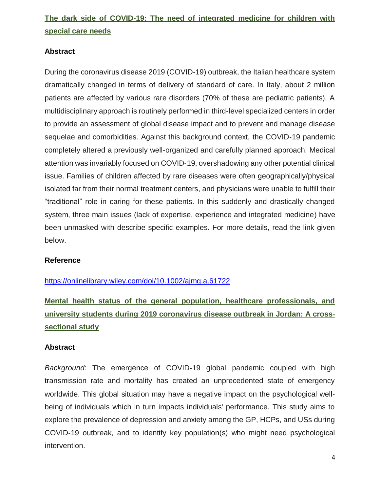# **The dark side of COVID-19: The need of integrated medicine for children with special care needs**

### **Abstract**

During the coronavirus disease 2019 (COVID‐19) outbreak, the Italian healthcare system dramatically changed in terms of delivery of standard of care. In Italy, about 2 million patients are affected by various rare disorders (70% of these are pediatric patients). A multidisciplinary approach is routinely performed in third‐level specialized centers in order to provide an assessment of global disease impact and to prevent and manage disease sequelae and comorbidities. Against this background context, the COVID-19 pandemic completely altered a previously well‐organized and carefully planned approach. Medical attention was invariably focused on COVID‐19, overshadowing any other potential clinical issue. Families of children affected by rare diseases were often geographically/physical isolated far from their normal treatment centers, and physicians were unable to fulfill their "traditional" role in caring for these patients. In this suddenly and drastically changed system, three main issues (lack of expertise, experience and integrated medicine) have been unmasked with describe specific examples. For more details, read the link given below.

### **Reference**

### <https://onlinelibrary.wiley.com/doi/10.1002/ajmg.a.61722>

# **Mental health status of the general population, healthcare professionals, and university students during 2019 coronavirus disease outbreak in Jordan: A cross**‐ **sectional study**

### **Abstract**

*Background*: The emergence of COVID‐19 global pandemic coupled with high transmission rate and mortality has created an unprecedented state of emergency worldwide. This global situation may have a negative impact on the psychological well‐ being of individuals which in turn impacts individuals' performance. This study aims to explore the prevalence of depression and anxiety among the GP, HCPs, and USs during COVID‐19 outbreak, and to identify key population(s) who might need psychological intervention.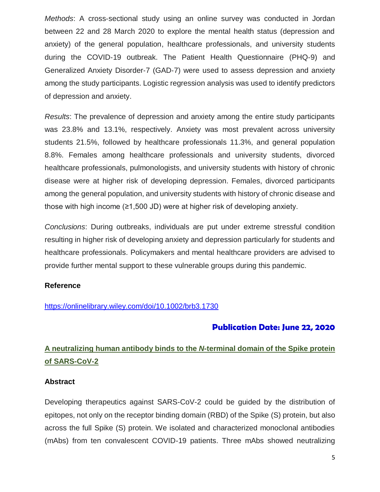*Methods*: A cross‐sectional study using an online survey was conducted in Jordan between 22 and 28 March 2020 to explore the mental health status (depression and anxiety) of the general population, healthcare professionals, and university students during the COVID‐19 outbreak. The Patient Health Questionnaire (PHQ‐9) and Generalized Anxiety Disorder‐7 (GAD‐7) were used to assess depression and anxiety among the study participants. Logistic regression analysis was used to identify predictors of depression and anxiety.

*Results*: The prevalence of depression and anxiety among the entire study participants was 23.8% and 13.1%, respectively. Anxiety was most prevalent across university students 21.5%, followed by healthcare professionals 11.3%, and general population 8.8%. Females among healthcare professionals and university students, divorced healthcare professionals, pulmonologists, and university students with history of chronic disease were at higher risk of developing depression. Females, divorced participants among the general population, and university students with history of chronic disease and those with high income (≥1,500 JD) were at higher risk of developing anxiety.

*Conclusions*: During outbreaks, individuals are put under extreme stressful condition resulting in higher risk of developing anxiety and depression particularly for students and healthcare professionals. Policymakers and mental healthcare providers are advised to provide further mental support to these vulnerable groups during this pandemic.

### **Reference**

### <https://onlinelibrary.wiley.com/doi/10.1002/brb3.1730>

## **Publication Date: June 22, 2020**

## **A neutralizing human antibody binds to the** *N***-terminal domain of the Spike protein of SARS-CoV-2**

### **Abstract**

Developing therapeutics against SARS-CoV-2 could be guided by the distribution of epitopes, not only on the receptor binding domain (RBD) of the Spike (S) protein, but also across the full Spike (S) protein. We isolated and characterized monoclonal antibodies (mAbs) from ten convalescent COVID-19 patients. Three mAbs showed neutralizing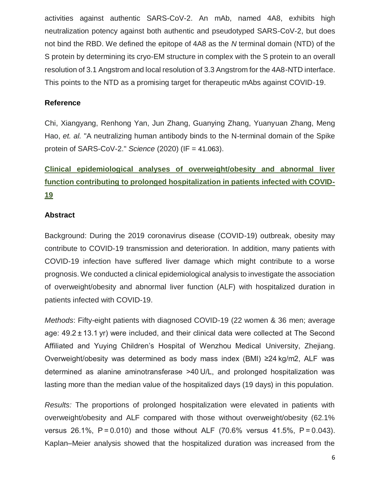activities against authentic SARS-CoV-2. An mAb, named 4A8, exhibits high neutralization potency against both authentic and pseudotyped SARS-CoV-2, but does not bind the RBD. We defined the epitope of 4A8 as the *N* terminal domain (NTD) of the S protein by determining its cryo-EM structure in complex with the S protein to an overall resolution of 3.1 Angstrom and local resolution of 3.3 Angstrom for the 4A8-NTD interface. This points to the NTD as a promising target for therapeutic mAbs against COVID-19.

## **Reference**

Chi, Xiangyang, Renhong Yan, Jun Zhang, Guanying Zhang, Yuanyuan Zhang, Meng Hao, *et. al.* "A neutralizing human antibody binds to the N-terminal domain of the Spike protein of SARS-CoV-2." *Science* (2020) (IF = 41.063).

# **Clinical epidemiological analyses of overweight/obesity and abnormal liver function contributing to prolonged hospitalization in patients infected with COVID-19**

## **Abstract**

Background: During the 2019 coronavirus disease (COVID-19) outbreak, obesity may contribute to COVID-19 transmission and deterioration. In addition, many patients with COVID-19 infection have suffered liver damage which might contribute to a worse prognosis. We conducted a clinical epidemiological analysis to investigate the association of overweight/obesity and abnormal liver function (ALF) with hospitalized duration in patients infected with COVID-19.

*Methods*: Fifty-eight patients with diagnosed COVID-19 (22 women & 36 men; average age: 49.2 ± 13.1 yr) were included, and their clinical data were collected at The Second Affiliated and Yuying Children's Hospital of Wenzhou Medical University, Zhejiang. Overweight/obesity was determined as body mass index (BMI) ≥24 kg/m2, ALF was determined as alanine aminotransferase >40 U/L, and prolonged hospitalization was lasting more than the median value of the hospitalized days (19 days) in this population.

*Results:* The proportions of prolonged hospitalization were elevated in patients with overweight/obesity and ALF compared with those without overweight/obesity (62.1% versus 26.1%, P = 0.010) and those without ALF (70.6% versus 41.5%, P = 0.043). Kaplan–Meier analysis showed that the hospitalized duration was increased from the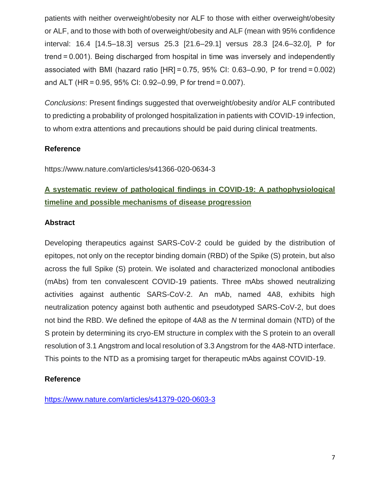patients with neither overweight/obesity nor ALF to those with either overweight/obesity or ALF, and to those with both of overweight/obesity and ALF (mean with 95% confidence interval: 16.4 [14.5–18.3] versus 25.3 [21.6–29.1] versus 28.3 [24.6–32.0], P for trend = 0.001). Being discharged from hospital in time was inversely and independently associated with BMI (hazard ratio  $[HR] = 0.75, 95\%$  CI: 0.63–0.90, P for trend = 0.002) and ALT (HR = 0.95, 95% CI: 0.92–0.99, P for trend = 0.007).

*Conclusions*: Present findings suggested that overweight/obesity and/or ALF contributed to predicting a probability of prolonged hospitalization in patients with COVID-19 infection, to whom extra attentions and precautions should be paid during clinical treatments.

## **Reference**

https://www.nature.com/articles/s41366-020-0634-3

## **A systematic review of pathological findings in COVID-19: A pathophysiological timeline and possible mechanisms of disease progression**

## **Abstract**

Developing therapeutics against SARS-CoV-2 could be guided by the distribution of epitopes, not only on the receptor binding domain (RBD) of the Spike (S) protein, but also across the full Spike (S) protein. We isolated and characterized monoclonal antibodies (mAbs) from ten convalescent COVID-19 patients. Three mAbs showed neutralizing activities against authentic SARS-CoV-2. An mAb, named 4A8, exhibits high neutralization potency against both authentic and pseudotyped SARS-CoV-2, but does not bind the RBD. We defined the epitope of 4A8 as the *N* terminal domain (NTD) of the S protein by determining its cryo-EM structure in complex with the S protein to an overall resolution of 3.1 Angstrom and local resolution of 3.3 Angstrom for the 4A8-NTD interface. This points to the NTD as a promising target for therapeutic mAbs against COVID-19.

## **Reference**

<https://www.nature.com/articles/s41379-020-0603-3>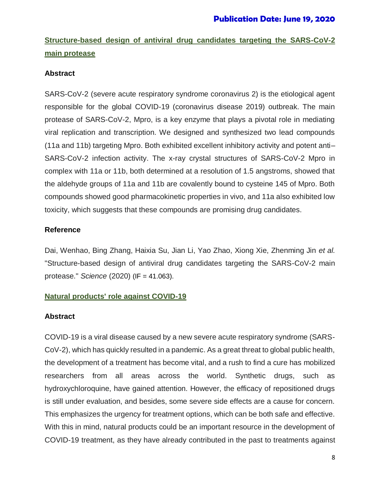# **Structure-based design of antiviral drug candidates targeting the SARS-CoV-2 main protease**

## **Abstract**

SARS-CoV-2 (severe acute respiratory syndrome coronavirus 2) is the etiological agent responsible for the global COVID-19 (coronavirus disease 2019) outbreak. The main protease of SARS-CoV-2, Mpro, is a key enzyme that plays a pivotal role in mediating viral replication and transcription. We designed and synthesized two lead compounds (11a and 11b) targeting Mpro. Both exhibited excellent inhibitory activity and potent anti– SARS-CoV-2 infection activity. The x-ray crystal structures of SARS-CoV-2 Mpro in complex with 11a or 11b, both determined at a resolution of 1.5 angstroms, showed that the aldehyde groups of 11a and 11b are covalently bound to cysteine 145 of Mpro. Both compounds showed good pharmacokinetic properties in vivo, and 11a also exhibited low toxicity, which suggests that these compounds are promising drug candidates.

## **Reference**

Dai, Wenhao, Bing Zhang, Haixia Su, Jian Li, Yao Zhao, Xiong Xie, Zhenming Jin *et al.* "Structure-based design of antiviral drug candidates targeting the SARS-CoV-2 main protease." *Science* (2020) (IF = 41.063).

## **Natural products' role against COVID-19**

## **Abstract**

COVID-19 is a viral disease caused by a new severe acute respiratory syndrome (SARS-CoV-2), which has quickly resulted in a pandemic. As a great threat to global public health, the development of a treatment has become vital, and a rush to find a cure has mobilized researchers from all areas across the world. Synthetic drugs, such as hydroxychloroquine, have gained attention. However, the efficacy of repositioned drugs is still under evaluation, and besides, some severe side effects are a cause for concern. This emphasizes the urgency for treatment options, which can be both safe and effective. With this in mind, natural products could be an important resource in the development of COVID-19 treatment, as they have already contributed in the past to treatments against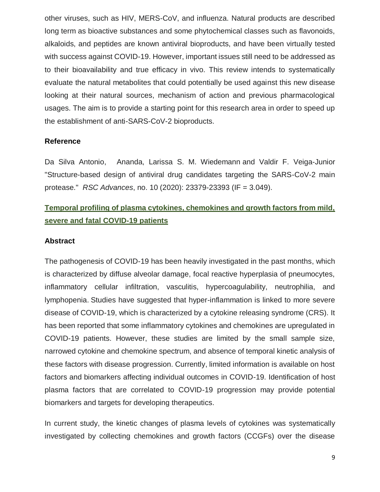other viruses, such as HIV, MERS-CoV, and influenza. Natural products are described long term as bioactive substances and some phytochemical classes such as flavonoids, alkaloids, and peptides are known antiviral bioproducts, and have been virtually tested with success against COVID-19. However, important issues still need to be addressed as to their bioavailability and true efficacy in vivo. This review intends to systematically evaluate the natural metabolites that could potentially be used against this new disease looking at their natural sources, mechanism of action and previous pharmacological usages. The aim is to provide a starting point for this research area in order to speed up the establishment of anti-SARS-CoV-2 bioproducts.

#### **Reference**

[Da Silva Antonio,](https://pubs.rsc.org/en/results?searchtext=Author%3AAnanda%20da%20Silva%20Antonio) Ananda, Larissa S. M. [Wiedemann](https://pubs.rsc.org/en/results?searchtext=Author%3ALarissa%20Silveira%20Moreira%20Wiedemann) and Valdir F. [Veiga-Junior](https://pubs.rsc.org/en/results?searchtext=Author%3AValdir%20Flor%C3%AAncio%20Veiga-Junior) "Structure-based design of antiviral drug candidates targeting the SARS-CoV-2 main protease." *RSC Advances*, no. 10 (2020): 23379-23393 (IF = 3.049).

## **Temporal profiling of plasma cytokines, chemokines and growth factors from mild, severe and fatal COVID-19 patients**

#### **Abstract**

The pathogenesis of COVID-19 has been heavily investigated in the past months, which is characterized by diffuse alveolar damage, focal reactive hyperplasia of pneumocytes, inflammatory cellular infiltration, vasculitis, hypercoagulability, neutrophilia, and lymphopenia. Studies have suggested that hyper-inflammation is linked to more severe disease of COVID-19, which is characterized by a cytokine releasing syndrome (CRS). It has been reported that some inflammatory cytokines and chemokines are upregulated in COVID-19 patients. However, these studies are limited by the small sample size, narrowed cytokine and chemokine spectrum, and absence of temporal kinetic analysis of these factors with disease progression. Currently, limited information is available on host factors and biomarkers affecting individual outcomes in COVID-19. Identification of host plasma factors that are correlated to COVID-19 progression may provide potential biomarkers and targets for developing therapeutics.

In current study, the kinetic changes of plasma levels of cytokines was systematically investigated by collecting chemokines and growth factors (CCGFs) over the disease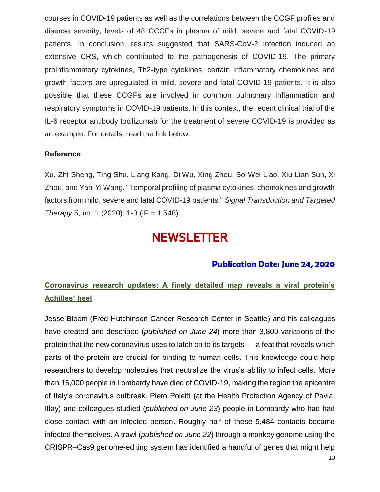courses in COVID-19 patients as well as the correlations between the CCGF profiles and disease severity, levels of 48 CCGFs in plasma of mild, severe and fatal COVID-19 patients. In conclusion, results suggested that SARS-CoV-2 infection induced an extensive CRS, which contributed to the pathogenesis of COVID-19. The primary proinflammatory cytokines, Th2-type cytokines, certain inflammatory chemokines and growth factors are upregulated in mild, severe and fatal COVID-19 patients. It is also possible that these CCGFs are involved in common pulmonary inflammation and respiratory symptoms in COVID-19 patients. In this context, the recent clinical trial of the IL-6 receptor antibody tocilizumab for the treatment of severe COVID-19 is provided as an example. For details, read the link below.

## **Reference**

[Xu, Zhi-Sheng, Ting Shu, Liang Kang, Di Wu, Xing Zhou, Bo-Wei Liao, Xiu-Lian Sun, Xi](https://pubs.rsc.org/en/results?searchtext=Author%3AAnanda%20da%20Silva%20Antonio)  [Zhou, and Yan-Yi Wang. "Temporal profiling of plasma cytokines, chemokines and growth](https://pubs.rsc.org/en/results?searchtext=Author%3AAnanda%20da%20Silva%20Antonio)  [factors from mild, severe and fatal COVID-19 patients."](https://pubs.rsc.org/en/results?searchtext=Author%3AAnanda%20da%20Silva%20Antonio) *Signal Transduction and Targeted Therapy* [5, no. 1 \(2020\): 1-3](https://pubs.rsc.org/en/results?searchtext=Author%3AAnanda%20da%20Silva%20Antonio) (IF = 1.548).

# **NEWSLETTER**

## **Publication Date: June 24, 2020**

## **Coronavirus research updates: A finely detailed map reveals a viral protein's Achilles' heel**

Jesse Bloom (Fred Hutchinson Cancer Research Center in Seattle) and his colleagues have created and described (*published on June 24*) more than 3,800 variations of the protein that the new coronavirus uses to latch on to its targets — a feat that reveals which parts of the protein are crucial for binding to human cells. This knowledge could help researchers to develop molecules that neutralize the virus's ability to infect cells. More than 16,000 people in Lombardy have died of COVID-19, making the region the epicentre of Italy's coronavirus outbreak. Piero Poletti (at the Health Protection Agency of Pavia, Itlay) and colleagues studied (*published on June 23*) people in Lombardy who had had close contact with an infected person. Roughly half of these 5,484 contacts became infected themselves. A trawl (*published on June 22*) through a monkey genome using the CRISPR–Cas9 genome-editing system has identified a handful of genes that might help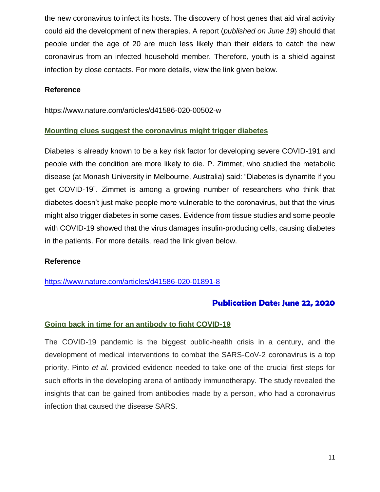the new coronavirus to infect its hosts. The discovery of host genes that aid viral activity could aid the development of new therapies. A report (*published on June 19*) should that people under the age of 20 are much less likely than their elders to catch the new coronavirus from an infected household member. Therefore, youth is a shield against infection by close contacts. For more details, view the link given below.

### **Reference**

<https://www.nature.com/articles/d41586-020-00502-w>

## **Mounting clues suggest the coronavirus might trigger diabetes**

Diabetes is already known to be a key risk factor for developing severe COVID-191 and people with the condition are more likely to die. P. Zimmet, who studied the metabolic disease (at Monash University in Melbourne, Australia) said: "Diabetes is dynamite if you get COVID-19". Zimmet is among a growing number of researchers who think that diabetes doesn't just make people more vulnerable to the coronavirus, but that the virus might also trigger diabetes in some cases. Evidence from tissue studies and some people with COVID-19 showed that the virus damages insulin-producing cells, causing diabetes in the patients. For more details, read the link given below.

### **Reference**

<https://www.nature.com/articles/d41586-020-01891-8>

## **Publication Date: June 22, 2020**

### **Going back in time for an antibody to fight COVID-19**

The COVID-19 pandemic is the biggest public-health crisis in a century, and the development of medical interventions to combat the SARS-CoV-2 coronavirus is a top priority. Pinto *et al.* provided evidence needed to take one of the crucial first steps for such efforts in the developing arena of antibody immunotherapy. The study revealed the insights that can be gained from antibodies made by a person, who had a coronavirus infection that caused the disease SARS.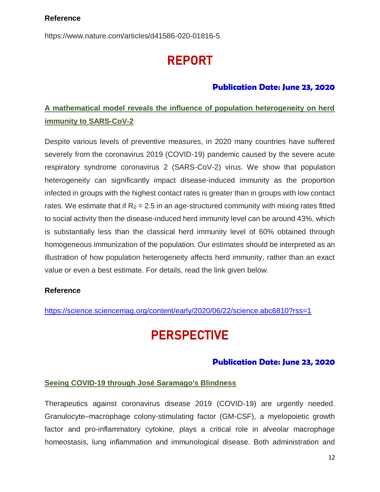## **Reference**

<https://www.nature.com/articles/d41586-020-01816-5>

# REPORT

## **Publication Date: June 23, 2020**

## **A mathematical model reveals the influence of population heterogeneity on herd immunity to SARS-CoV-2**

Despite various levels of preventive measures, in 2020 many countries have suffered severely from the coronavirus 2019 (COVID-19) pandemic caused by the severe acute respiratory syndrome coronavirus 2 (SARS-CoV-2) virus. We show that population heterogeneity can significantly impact disease-induced immunity as the proportion infected in groups with the highest contact rates is greater than in groups with low contact rates. We estimate that if  $R_0 = 2.5$  in an age-structured community with mixing rates fitted to social activity then the disease-induced herd immunity level can be around 43%, which is substantially less than the classical herd immunity level of 60% obtained through homogeneous immunization of the population. Our estimates should be interpreted as an illustration of how population heterogeneity affects herd immunity, rather than an exact value or even a best estimate. For details, read the link given below.

## **Reference**

https://science.sciencemag.org/content/early/2020/06/22/science.abc6810?rss=1

# **PERSPECTIVE**

## **Publication Date: June 23, 2020**

### **Seeing COVID-19 through José Saramago's Blindness**

Therapeutics against coronavirus disease 2019 (COVID-19) are urgently needed. Granulocyte–macrophage colony-stimulating factor (GM-CSF), a myelopoietic growth factor and pro-inflammatory cytokine, plays a critical role in alveolar macrophage homeostasis, lung inflammation and immunological disease. Both administration and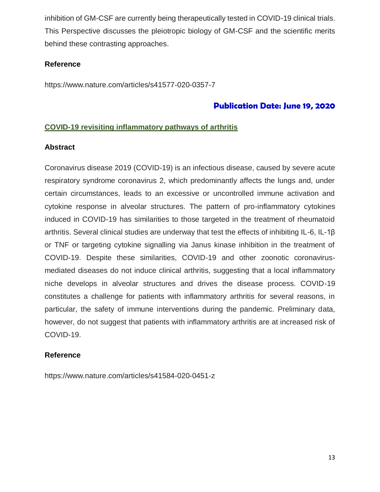inhibition of GM-CSF are currently being therapeutically tested in COVID-19 clinical trials. This Perspective discusses the pleiotropic biology of GM-CSF and the scientific merits behind these contrasting approaches.

## **Reference**

https://www.nature.com/articles/s41577-020-0357-7

## **Publication Date: June 19, 2020**

## **COVID-19 revisiting inflammatory pathways of arthritis**

### **Abstract**

Coronavirus disease 2019 (COVID-19) is an infectious disease, caused by severe acute respiratory syndrome coronavirus 2, which predominantly affects the lungs and, under certain circumstances, leads to an excessive or uncontrolled immune activation and cytokine response in alveolar structures. The pattern of pro-inflammatory cytokines induced in COVID-19 has similarities to those targeted in the treatment of rheumatoid arthritis. Several clinical studies are underway that test the effects of inhibiting IL-6, IL-1β or TNF or targeting cytokine signalling via Janus kinase inhibition in the treatment of COVID-19. Despite these similarities, COVID-19 and other zoonotic coronavirusmediated diseases do not induce clinical arthritis, suggesting that a local inflammatory niche develops in alveolar structures and drives the disease process. COVID-19 constitutes a challenge for patients with inflammatory arthritis for several reasons, in particular, the safety of immune interventions during the pandemic. Preliminary data, however, do not suggest that patients with inflammatory arthritis are at increased risk of COVID-19.

### **Reference**

https://www.nature.com/articles/s41584-020-0451-z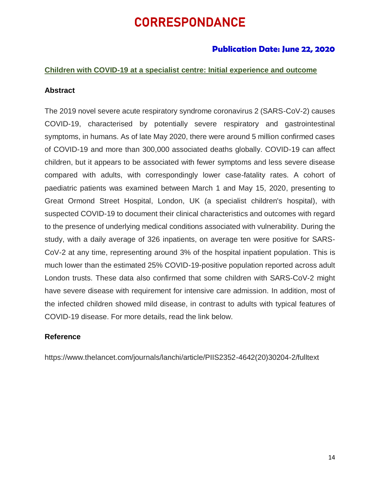# **CORRESPONDANCE**

## **Publication Date: June 22, 2020**

### **Children with COVID-19 at a specialist centre: Initial experience and outcome**

### **Abstract**

The 2019 novel severe acute respiratory syndrome coronavirus 2 (SARS-CoV-2) causes COVID-19, characterised by potentially severe respiratory and gastrointestinal symptoms, in humans. As of late May 2020, there were around 5 million confirmed cases of COVID-19 and more than 300,000 associated deaths globally. COVID-19 can affect children, but it appears to be associated with fewer symptoms and less severe disease compared with adults, with correspondingly lower case-fatality rates. A cohort of paediatric patients was examined between March 1 and May 15, 2020, presenting to Great Ormond Street Hospital, London, UK (a specialist children's hospital), with suspected COVID-19 to document their clinical characteristics and outcomes with regard to the presence of underlying medical conditions associated with vulnerability. During the study, with a daily average of 326 inpatients, on average ten were positive for SARS-CoV-2 at any time, representing around 3% of the hospital inpatient population. This is much lower than the estimated 25% COVID-19-positive population reported across adult London trusts. These data also confirmed that some children with SARS-CoV-2 might have severe disease with requirement for intensive care admission. In addition, most of the infected children showed mild disease, in contrast to adults with typical features of COVID-19 disease. For more details, read the link below.

### **Reference**

https://www.thelancet.com/journals/lanchi/article/PIIS2352-4642(20)30204-2/fulltext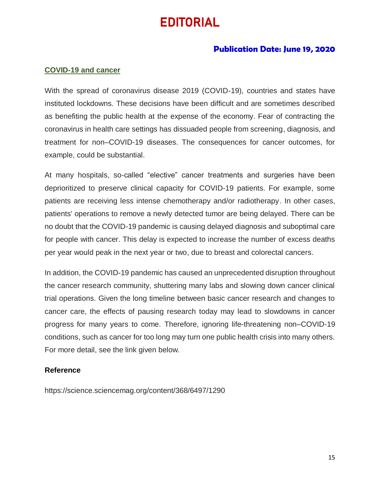# **EDITORIAL**

## **Publication Date: June 19, 2020**

## **COVID-19 and cancer**

With the spread of coronavirus disease 2019 (COVID-19), countries and states have instituted lockdowns. These decisions have been difficult and are sometimes described as benefiting the public health at the expense of the economy. Fear of contracting the coronavirus in health care settings has dissuaded people from screening, diagnosis, and treatment for non–COVID-19 diseases. The consequences for cancer outcomes, for example, could be substantial.

At many hospitals, so-called "elective" cancer treatments and surgeries have been deprioritized to preserve clinical capacity for COVID-19 patients. For example, some patients are receiving less intense chemotherapy and/or radiotherapy. In other cases, patients' operations to remove a newly detected tumor are being delayed. There can be no doubt that the COVID-19 pandemic is causing delayed diagnosis and suboptimal care for people with cancer. This delay is expected to increase the number of excess deaths per year would peak in the next year or two, due to breast and colorectal cancers.

In addition, the COVID-19 pandemic has caused an unprecedented disruption throughout the cancer research community, shuttering many labs and slowing down cancer clinical trial operations. Given the long timeline between basic cancer research and changes to cancer care, the effects of pausing research today may lead to slowdowns in cancer progress for many years to come. Therefore, ignoring life-threatening non–COVID-19 conditions, such as cancer for too long may turn one public health crisis into many others. For more detail, see the link given below.

### **Reference**

https://science.sciencemag.org/content/368/6497/1290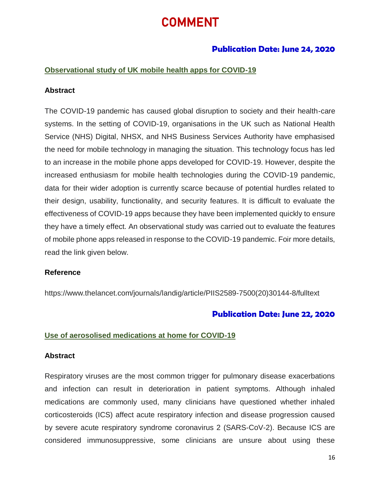# COMMENT

## **Publication Date: June 24, 2020**

### **Observational study of UK mobile health apps for COVID-19**

#### **Abstract**

The COVID-19 pandemic has caused global disruption to society and their health-care systems. In the setting of COVID-19, organisations in the UK such as National Health Service (NHS) Digital, NHSX, and NHS Business Services Authority have emphasised the need for mobile technology in managing the situation. This technology focus has led to an increase in the mobile phone apps developed for COVID-19. However, despite the increased enthusiasm for mobile health technologies during the COVID-19 pandemic, data for their wider adoption is currently scarce because of potential hurdles related to their design, usability, functionality, and security features. It is difficult to evaluate the effectiveness of COVID-19 apps because they have been implemented quickly to ensure they have a timely effect. An observational study was carried out to evaluate the features of mobile phone apps released in response to the COVID-19 pandemic. Foir more details, read the link given below.

#### **Reference**

https://www.thelancet.com/journals/landig/article/PIIS2589-7500(20)30144-8/fulltext

## **Publication Date: June 22, 2020**

### **Use of aerosolised medications at home for COVID-19**

#### **Abstract**

Respiratory viruses are the most common trigger for pulmonary disease exacerbations and infection can result in deterioration in patient symptoms. Although inhaled medications are commonly used, many clinicians have questioned whether inhaled corticosteroids (ICS) affect acute respiratory infection and disease progression caused by severe acute respiratory syndrome coronavirus 2 (SARS-CoV-2). Because ICS are considered immunosuppressive, some clinicians are unsure about using these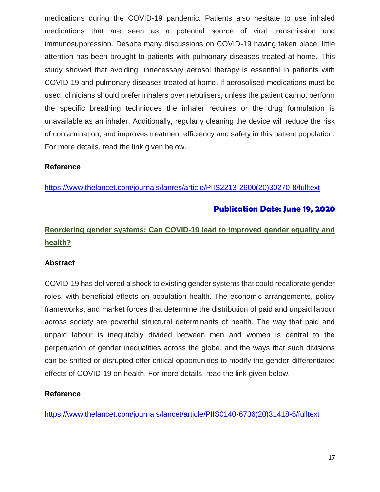medications during the COVID-19 pandemic. Patients also hesitate to use inhaled medications that are seen as a potential source of viral transmission and immunosuppression. Despite many discussions on COVID-19 having taken place, little attention has been brought to patients with pulmonary diseases treated at home. This study showed that avoiding unnecessary aerosol therapy is essential in patients with COVID-19 and pulmonary diseases treated at home. If aerosolised medications must be used, clinicians should prefer inhalers over nebulisers, unless the patient cannot perform the specific breathing techniques the inhaler requires or the drug formulation is unavailable as an inhaler. Additionally, regularly cleaning the device will reduce the risk of contamination, and improves treatment efficiency and safety in this patient population. For more details, read the link given below.

### **Reference**

[https://www.thelancet.com/journals/lanres/article/PIIS2213-2600\(20\)30270-8/fulltext](https://www.thelancet.com/journals/lanres/article/PIIS2213-2600(20)30270-8/fulltext)

## **Publication Date: June 19, 2020**

## **Reordering gender systems: Can COVID-19 lead to improved gender equality and health?**

### **Abstract**

COVID-19 has delivered a shock to existing gender systems that could recalibrate gender roles, with beneficial effects on population health. The economic arrangements, policy frameworks, and market forces that determine the distribution of paid and unpaid labour across society are powerful structural determinants of health. The way that paid and unpaid labour is inequitably divided between men and women is central to the perpetuation of gender inequalities across the globe, and the ways that such divisions can be shifted or disrupted offer critical opportunities to modify the gender-differentiated effects of COVID-19 on health. For more details, read the link given below.

### **Reference**

[https://www.thelancet.com/journals/lancet/article/PIIS0140-6736\(20\)31418-5/fulltext](https://www.thelancet.com/journals/lancet/article/PIIS0140-6736(20)31418-5/fulltext)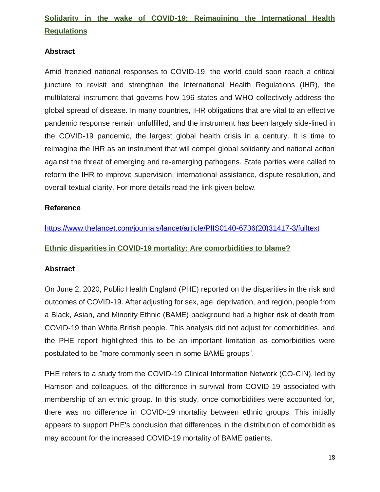# **Solidarity in the wake of COVID-19: Reimagining the International Health Regulations**

## **Abstract**

Amid frenzied national responses to COVID-19, the world could soon reach a critical juncture to revisit and strengthen the International Health Regulations (IHR), the multilateral instrument that governs how 196 states and WHO collectively address the global spread of disease. In many countries, IHR obligations that are vital to an effective pandemic response remain unfulfilled, and the instrument has been largely side-lined in the COVID-19 pandemic, the largest global health crisis in a century. It is time to reimagine the IHR as an instrument that will compel global solidarity and national action against the threat of emerging and re-emerging pathogens. State parties were called to reform the IHR to improve supervision, international assistance, dispute resolution, and overall textual clarity. For more details read the link given below.

## **Reference**

[https://www.thelancet.com/journals/lancet/article/PIIS0140-6736\(20\)31417-3/fulltext](https://www.thelancet.com/journals/lancet/article/PIIS0140-6736(20)31417-3/fulltext)

## **Ethnic disparities in COVID-19 mortality: Are comorbidities to blame?**

### **Abstract**

On June 2, 2020, Public Health England (PHE) reported on the disparities in the risk and outcomes of COVID-19. After adjusting for sex, age, deprivation, and region, people from a Black, Asian, and Minority Ethnic (BAME) background had a higher risk of death from COVID-19 than White British people. This analysis did not adjust for comorbidities, and the PHE report highlighted this to be an important limitation as comorbidities were postulated to be "more commonly seen in some BAME groups".

PHE refers to a study from the COVID-19 Clinical Information Network (CO-CIN), led by Harrison and colleagues, of the difference in survival from COVID-19 associated with membership of an ethnic group. In this study, once comorbidities were accounted for, there was no difference in COVID-19 mortality between ethnic groups. This initially appears to support PHE's conclusion that differences in the distribution of comorbidities may account for the increased COVID-19 mortality of BAME patients.